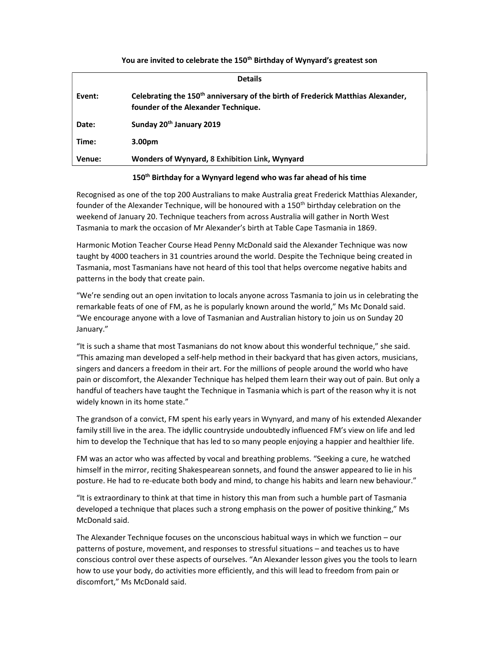| <b>Details</b> |                                                                                                                                    |
|----------------|------------------------------------------------------------------------------------------------------------------------------------|
| Event:         | Celebrating the 150 <sup>th</sup> anniversary of the birth of Frederick Matthias Alexander,<br>founder of the Alexander Technique. |
| Date:          | Sunday 20 <sup>th</sup> January 2019                                                                                               |
| Time:          | 3.00 <sub>pm</sub>                                                                                                                 |
| Venue:         | Wonders of Wynyard, 8 Exhibition Link, Wynyard                                                                                     |

You are invited to celebrate the 150<sup>th</sup> Birthday of Wynyard's greatest son

## 150<sup>th</sup> Birthday for a Wynyard legend who was far ahead of his time

Recognised as one of the top 200 Australians to make Australia great Frederick Matthias Alexander, founder of the Alexander Technique, will be honoured with a 150<sup>th</sup> birthday celebration on the weekend of January 20. Technique teachers from across Australia will gather in North West Tasmania to mark the occasion of Mr Alexander's birth at Table Cape Tasmania in 1869.

Harmonic Motion Teacher Course Head Penny McDonald said the Alexander Technique was now taught by 4000 teachers in 31 countries around the world. Despite the Technique being created in Tasmania, most Tasmanians have not heard of this tool that helps overcome negative habits and patterns in the body that create pain.

"We're sending out an open invitation to locals anyone across Tasmania to join us in celebrating the remarkable feats of one of FM, as he is popularly known around the world," Ms Mc Donald said. "We encourage anyone with a love of Tasmanian and Australian history to join us on Sunday 20 January."

"It is such a shame that most Tasmanians do not know about this wonderful technique," she said. "This amazing man developed a self-help method in their backyard that has given actors, musicians, singers and dancers a freedom in their art. For the millions of people around the world who have pain or discomfort, the Alexander Technique has helped them learn their way out of pain. But only a handful of teachers have taught the Technique in Tasmania which is part of the reason why it is not widely known in its home state."

The grandson of a convict, FM spent his early years in Wynyard, and many of his extended Alexander family still live in the area. The idyllic countryside undoubtedly influenced FM's view on life and led him to develop the Technique that has led to so many people enjoying a happier and healthier life.

FM was an actor who was affected by vocal and breathing problems. "Seeking a cure, he watched himself in the mirror, reciting Shakespearean sonnets, and found the answer appeared to lie in his posture. He had to re-educate both body and mind, to change his habits and learn new behaviour."

"It is extraordinary to think at that time in history this man from such a humble part of Tasmania developed a technique that places such a strong emphasis on the power of positive thinking," Ms McDonald said.

The Alexander Technique focuses on the unconscious habitual ways in which we function – our patterns of posture, movement, and responses to stressful situations – and teaches us to have conscious control over these aspects of ourselves. "An Alexander lesson gives you the tools to learn how to use your body, do activities more efficiently, and this will lead to freedom from pain or discomfort," Ms McDonald said.